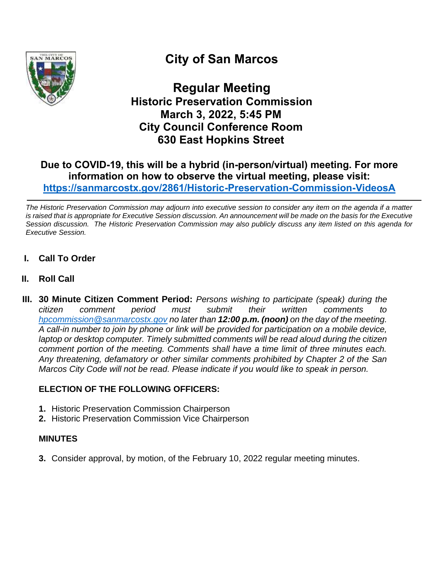

# **City of San Marcos**

**Regular Meeting Historic Preservation Commission March 3, 2022, 5:45 PM City Council Conference Room 630 East Hopkins Street**

## **Due to COVID-19, this will be a hybrid (in-person/virtual) meeting. For more information on how to observe the virtual meeting, please visit: <https://sanmarcostx.gov/2861/Historic-Preservation-Commission-VideosA>**

*The Historic Preservation Commission may adjourn into executive session to consider any item on the agenda if a matter is raised that is appropriate for Executive Session discussion. An announcement will be made on the basis for the Executive Session discussion. The Historic Preservation Commission may also publicly discuss any item listed on this agenda for Executive Session.*

- **I. Call To Order**
- **II. Roll Call**
- **III. 30 Minute Citizen Comment Period:** *Persons wishing to participate (speak) during the citizen comment period must submit their written comments to [hpcommission@sanmarcostx.gov](mailto:hpcommission@sanmarcostx.gov) no later than 12:00 p.m. (noon) on the day of the meeting. A call-in number to join by phone or link will be provided for participation on a mobile device, laptop or desktop computer. Timely submitted comments will be read aloud during the citizen comment portion of the meeting. Comments shall have a time limit of three minutes each. Any threatening, defamatory or other similar comments prohibited by Chapter 2 of the San Marcos City Code will not be read. Please indicate if you would like to speak in person.*

### **ELECTION OF THE FOLLOWING OFFICERS:**

- **1.** Historic Preservation Commission Chairperson
- **2.** Historic Preservation Commission Vice Chairperson

#### **MINUTES**

**3.** Consider approval, by motion, of the February 10, 2022 regular meeting minutes.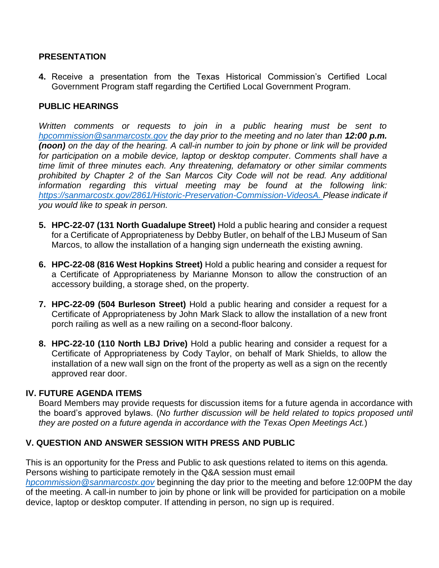#### **PRESENTATION**

**4.** Receive a presentation from the Texas Historical Commission's Certified Local Government Program staff regarding the Certified Local Government Program.

#### **PUBLIC HEARINGS**

*Written comments or requests to join in a public hearing must be sent to [hpcommission@sanmarcostx.gov](mailto:hpcommission@sanmarcostx.gov) the day prior to the meeting and no later than 12:00 p.m. (noon) on the day of the hearing. A call-in number to join by phone or link will be provided*  for participation on a mobile device, laptop or desktop computer. Comments shall have a *time limit of three minutes each. Any threatening, defamatory or other similar comments prohibited by Chapter 2 of the San Marcos City Code will not be read. Any additional information regarding this virtual meeting may be found at the following link: [https://sanmarcostx.gov/2861/Historic-Preservation-Commission-VideosA.](https://sanmarcostx.gov/2861/Historic-Preservation-Commission-VideosA) Please indicate if you would like to speak in person.*

- **5. HPC-22-07 (131 North Guadalupe Street)** Hold a public hearing and consider a request for a Certificate of Appropriateness by Debby Butler, on behalf of the LBJ Museum of San Marcos, to allow the installation of a hanging sign underneath the existing awning.
- **6. HPC-22-08 (816 West Hopkins Street)** Hold a public hearing and consider a request for a Certificate of Appropriateness by Marianne Monson to allow the construction of an accessory building, a storage shed, on the property.
- **7. HPC-22-09 (504 Burleson Street)** Hold a public hearing and consider a request for a Certificate of Appropriateness by John Mark Slack to allow the installation of a new front porch railing as well as a new railing on a second-floor balcony.
- **8. HPC-22-10 (110 North LBJ Drive)** Hold a public hearing and consider a request for a Certificate of Appropriateness by Cody Taylor, on behalf of Mark Shields, to allow the installation of a new wall sign on the front of the property as well as a sign on the recently approved rear door.

#### **IV. FUTURE AGENDA ITEMS**

Board Members may provide requests for discussion items for a future agenda in accordance with the board's approved bylaws. (*No further discussion will be held related to topics proposed until they are posted on a future agenda in accordance with the Texas Open Meetings Act.*)

#### **V. QUESTION AND ANSWER SESSION WITH PRESS AND PUBLIC**

This is an opportunity for the Press and Public to ask questions related to items on this agenda. Persons wishing to participate remotely in the Q&A session must email

*[hpcommission@sanmarcostx.gov](mailto:hpcommission@sanmarcostx.gov)* beginning the day prior to the meeting and before 12:00PM the day of the meeting. A call-in number to join by phone or link will be provided for participation on a mobile device, laptop or desktop computer. If attending in person, no sign up is required.